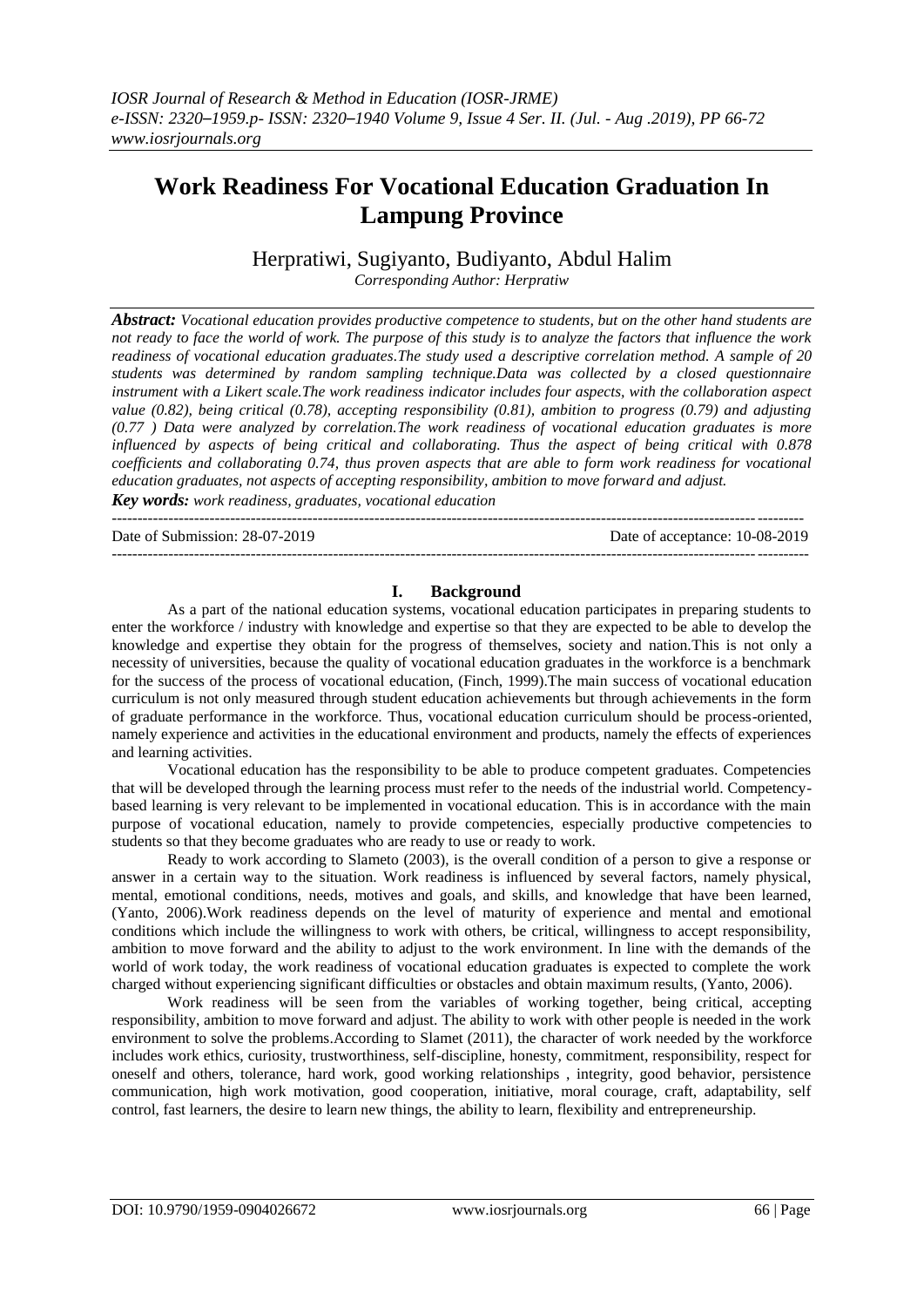# **Work Readiness For Vocational Education Graduation In Lampung Province**

Herpratiwi, Sugiyanto, Budiyanto, Abdul Halim

*Corresponding Author: Herpratiw*

*Abstract: Vocational education provides productive competence to students, but on the other hand students are not ready to face the world of work. The purpose of this study is to analyze the factors that influence the work readiness of vocational education graduates.The study used a descriptive correlation method. A sample of 20 students was determined by random sampling technique.Data was collected by a closed questionnaire instrument with a Likert scale.The work readiness indicator includes four aspects, with the collaboration aspect value (0.82), being critical (0.78), accepting responsibility (0.81), ambition to progress (0.79) and adjusting (0.77 ) Data were analyzed by correlation.The work readiness of vocational education graduates is more influenced by aspects of being critical and collaborating. Thus the aspect of being critical with 0.878 coefficients and collaborating 0.74, thus proven aspects that are able to form work readiness for vocational education graduates, not aspects of accepting responsibility, ambition to move forward and adjust.*

*Key words: work readiness, graduates, vocational education*

--------------------------------------------------------------------------------------------------------------------------------------

Date of Submission: 28-07-2019 Date of acceptance: 10-08-2019

---------------------------------------------------------------------------------------------------------------------------------------

# **I. Background**

As a part of the national education systems, vocational education participates in preparing students to enter the workforce / industry with knowledge and expertise so that they are expected to be able to develop the knowledge and expertise they obtain for the progress of themselves, society and nation.This is not only a necessity of universities, because the quality of vocational education graduates in the workforce is a benchmark for the success of the process of vocational education, (Finch, 1999).The main success of vocational education curriculum is not only measured through student education achievements but through achievements in the form of graduate performance in the workforce. Thus, vocational education curriculum should be process-oriented, namely experience and activities in the educational environment and products, namely the effects of experiences and learning activities.

Vocational education has the responsibility to be able to produce competent graduates. Competencies that will be developed through the learning process must refer to the needs of the industrial world. Competencybased learning is very relevant to be implemented in vocational education. This is in accordance with the main purpose of vocational education, namely to provide competencies, especially productive competencies to students so that they become graduates who are ready to use or ready to work.

Ready to work according to Slameto (2003), is the overall condition of a person to give a response or answer in a certain way to the situation. Work readiness is influenced by several factors, namely physical, mental, emotional conditions, needs, motives and goals, and skills, and knowledge that have been learned, (Yanto, 2006).Work readiness depends on the level of maturity of experience and mental and emotional conditions which include the willingness to work with others, be critical, willingness to accept responsibility, ambition to move forward and the ability to adjust to the work environment. In line with the demands of the world of work today, the work readiness of vocational education graduates is expected to complete the work charged without experiencing significant difficulties or obstacles and obtain maximum results, (Yanto, 2006).

Work readiness will be seen from the variables of working together, being critical, accepting responsibility, ambition to move forward and adjust. The ability to work with other people is needed in the work environment to solve the problems.According to Slamet (2011), the character of work needed by the workforce includes work ethics, curiosity, trustworthiness, self-discipline, honesty, commitment, responsibility, respect for oneself and others, tolerance, hard work, good working relationships , integrity, good behavior, persistence communication, high work motivation, good cooperation, initiative, moral courage, craft, adaptability, self control, fast learners, the desire to learn new things, the ability to learn, flexibility and entrepreneurship.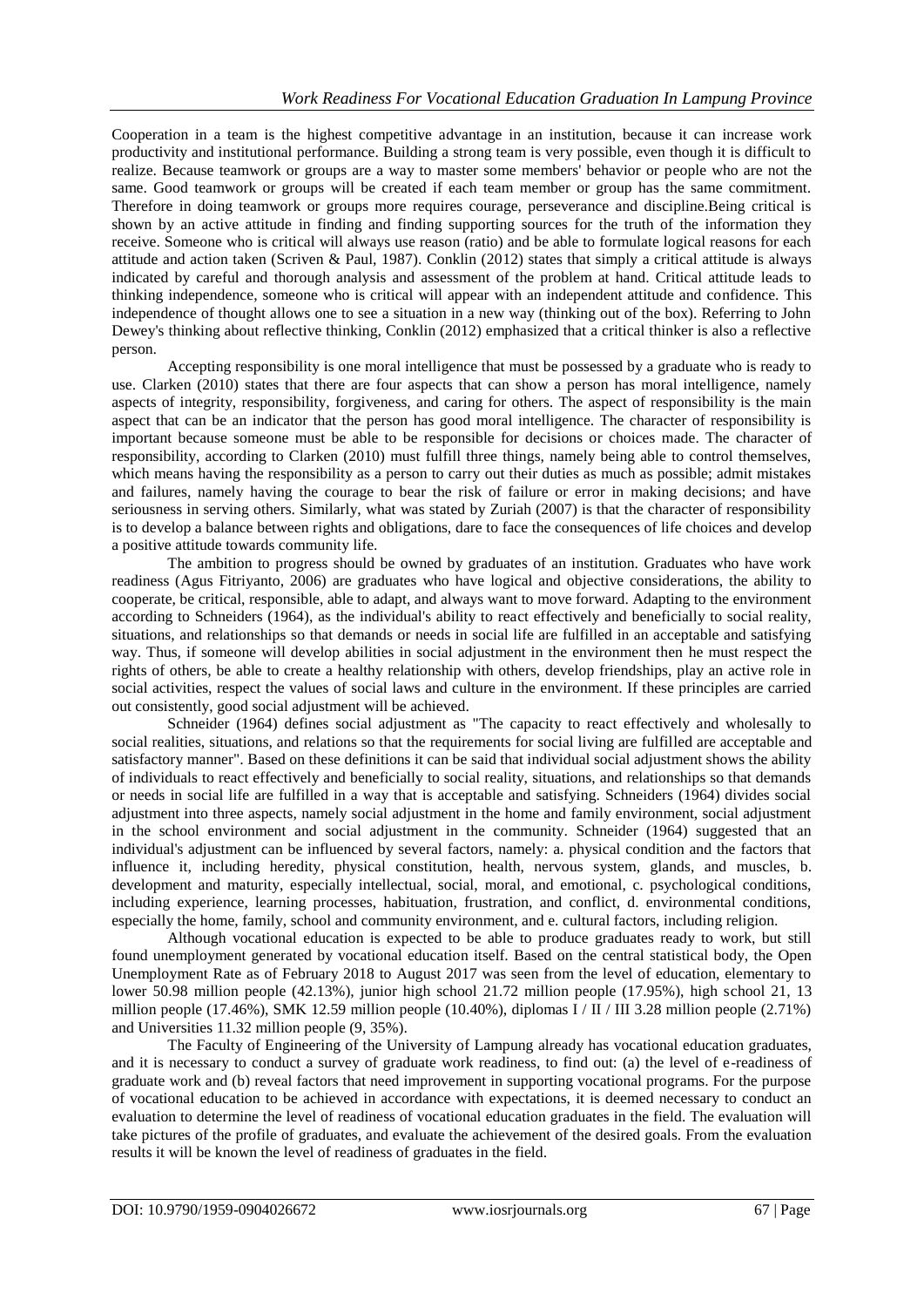Cooperation in a team is the highest competitive advantage in an institution, because it can increase work productivity and institutional performance. Building a strong team is very possible, even though it is difficult to realize. Because teamwork or groups are a way to master some members' behavior or people who are not the same. Good teamwork or groups will be created if each team member or group has the same commitment. Therefore in doing teamwork or groups more requires courage, perseverance and discipline.Being critical is shown by an active attitude in finding and finding supporting sources for the truth of the information they receive. Someone who is critical will always use reason (ratio) and be able to formulate logical reasons for each attitude and action taken (Scriven & Paul, 1987). Conklin (2012) states that simply a critical attitude is always indicated by careful and thorough analysis and assessment of the problem at hand. Critical attitude leads to thinking independence, someone who is critical will appear with an independent attitude and confidence. This independence of thought allows one to see a situation in a new way (thinking out of the box). Referring to John Dewey's thinking about reflective thinking, Conklin (2012) emphasized that a critical thinker is also a reflective person.

Accepting responsibility is one moral intelligence that must be possessed by a graduate who is ready to use. Clarken (2010) states that there are four aspects that can show a person has moral intelligence, namely aspects of integrity, responsibility, forgiveness, and caring for others. The aspect of responsibility is the main aspect that can be an indicator that the person has good moral intelligence. The character of responsibility is important because someone must be able to be responsible for decisions or choices made. The character of responsibility, according to Clarken (2010) must fulfill three things, namely being able to control themselves, which means having the responsibility as a person to carry out their duties as much as possible; admit mistakes and failures, namely having the courage to bear the risk of failure or error in making decisions; and have seriousness in serving others. Similarly, what was stated by Zuriah (2007) is that the character of responsibility is to develop a balance between rights and obligations, dare to face the consequences of life choices and develop a positive attitude towards community life.

The ambition to progress should be owned by graduates of an institution. Graduates who have work readiness (Agus Fitriyanto, 2006) are graduates who have logical and objective considerations, the ability to cooperate, be critical, responsible, able to adapt, and always want to move forward. Adapting to the environment according to Schneiders (1964), as the individual's ability to react effectively and beneficially to social reality, situations, and relationships so that demands or needs in social life are fulfilled in an acceptable and satisfying way. Thus, if someone will develop abilities in social adjustment in the environment then he must respect the rights of others, be able to create a healthy relationship with others, develop friendships, play an active role in social activities, respect the values of social laws and culture in the environment. If these principles are carried out consistently, good social adjustment will be achieved.

Schneider (1964) defines social adjustment as "The capacity to react effectively and wholesally to social realities, situations, and relations so that the requirements for social living are fulfilled are acceptable and satisfactory manner". Based on these definitions it can be said that individual social adjustment shows the ability of individuals to react effectively and beneficially to social reality, situations, and relationships so that demands or needs in social life are fulfilled in a way that is acceptable and satisfying. Schneiders (1964) divides social adjustment into three aspects, namely social adjustment in the home and family environment, social adjustment in the school environment and social adjustment in the community. Schneider (1964) suggested that an individual's adjustment can be influenced by several factors, namely: a. physical condition and the factors that influence it, including heredity, physical constitution, health, nervous system, glands, and muscles, b. development and maturity, especially intellectual, social, moral, and emotional, c. psychological conditions, including experience, learning processes, habituation, frustration, and conflict, d. environmental conditions, especially the home, family, school and community environment, and e. cultural factors, including religion.

Although vocational education is expected to be able to produce graduates ready to work, but still found unemployment generated by vocational education itself. Based on the central statistical body, the Open Unemployment Rate as of February 2018 to August 2017 was seen from the level of education, elementary to lower 50.98 million people (42.13%), junior high school 21.72 million people (17.95%), high school 21, 13 million people (17.46%), SMK 12.59 million people (10.40%), diplomas I / II / III 3.28 million people (2.71%) and Universities 11.32 million people (9, 35%).

The Faculty of Engineering of the University of Lampung already has vocational education graduates, and it is necessary to conduct a survey of graduate work readiness, to find out: (a) the level of e-readiness of graduate work and (b) reveal factors that need improvement in supporting vocational programs. For the purpose of vocational education to be achieved in accordance with expectations, it is deemed necessary to conduct an evaluation to determine the level of readiness of vocational education graduates in the field. The evaluation will take pictures of the profile of graduates, and evaluate the achievement of the desired goals. From the evaluation results it will be known the level of readiness of graduates in the field.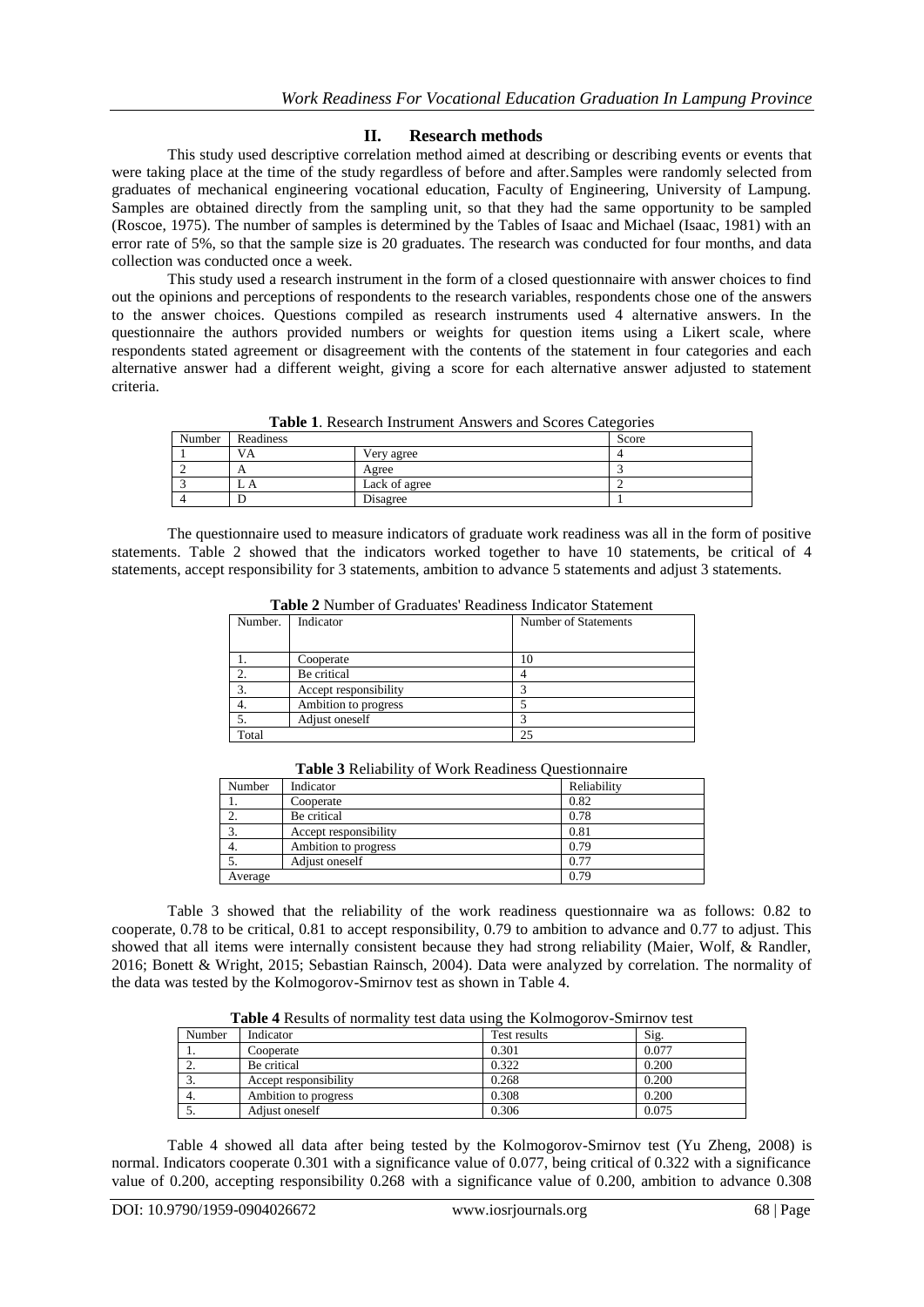# **II. Research methods**

This study used descriptive correlation method aimed at describing or describing events or events that were taking place at the time of the study regardless of before and after.Samples were randomly selected from graduates of mechanical engineering vocational education, Faculty of Engineering, University of Lampung. Samples are obtained directly from the sampling unit, so that they had the same opportunity to be sampled (Roscoe, 1975). The number of samples is determined by the Tables of Isaac and Michael (Isaac, 1981) with an error rate of 5%, so that the sample size is 20 graduates. The research was conducted for four months, and data collection was conducted once a week.

This study used a research instrument in the form of a closed questionnaire with answer choices to find out the opinions and perceptions of respondents to the research variables, respondents chose one of the answers to the answer choices. Questions compiled as research instruments used 4 alternative answers. In the questionnaire the authors provided numbers or weights for question items using a Likert scale, where respondents stated agreement or disagreement with the contents of the statement in four categories and each alternative answer had a different weight, giving a score for each alternative answer adjusted to statement criteria.

| Number | Readiness  |               | Score |
|--------|------------|---------------|-------|
|        | VA         | Very agree    |       |
|        |            | Agree         |       |
|        | <b>∟ A</b> | Lack of agree |       |
|        |            | Disagree      |       |

**Table 1**. Research Instrument Answers and Scores Categories

The questionnaire used to measure indicators of graduate work readiness was all in the form of positive statements. Table 2 showed that the indicators worked together to have 10 statements, be critical of 4 statements, accept responsibility for 3 statements, ambition to advance 5 statements and adjust 3 statements.

| A WAJAU A LIVILLA ULI VI WINDOWOWY ALUNGILIUM ILIVILUMVUL MUNULLIULLU |                       |                      |  |  |  |  |
|-----------------------------------------------------------------------|-----------------------|----------------------|--|--|--|--|
| Number.                                                               | Indicator             | Number of Statements |  |  |  |  |
|                                                                       |                       |                      |  |  |  |  |
|                                                                       | Cooperate             | 10                   |  |  |  |  |
|                                                                       | Be critical           |                      |  |  |  |  |
| 3.                                                                    | Accept responsibility |                      |  |  |  |  |
|                                                                       | Ambition to progress  |                      |  |  |  |  |
|                                                                       | Adjust oneself        |                      |  |  |  |  |
| Total                                                                 |                       | 25                   |  |  |  |  |

**Table 2** Number of Graduates' Readiness Indicator Statement

| Number  | Indicator             | Reliability |
|---------|-----------------------|-------------|
|         | Cooperate             | 0.82        |
|         | Be critical           | 0.78        |
| 3.      | Accept responsibility | 0.81        |
|         | Ambition to progress  | 0.79        |
|         | Adjust oneself        | 0.77        |
| Average |                       | 0.79        |

**Table 3** Reliability of Work Readiness Questionnaire

Table 3 showed that the reliability of the work readiness questionnaire wa as follows: 0.82 to cooperate, 0.78 to be critical, 0.81 to accept responsibility, 0.79 to ambition to advance and 0.77 to adjust. This showed that all items were internally consistent because they had strong reliability (Maier, Wolf, & Randler, 2016; Bonett & Wright, 2015; Sebastian Rainsch, 2004). Data were analyzed by correlation. The normality of the data was tested by the Kolmogorov-Smirnov test as shown in Table 4.

**Table 4** Results of normality test data using the Kolmogorov-Smirnov test

| Number   | Indicator             | Test results | Sig.  |
|----------|-----------------------|--------------|-------|
|          | Cooperate             | 0.301        | 0.077 |
| <u>.</u> | Be critical           | 0.322        | 0.200 |
|          | Accept responsibility | 0.268        | 0.200 |
| 4.       | Ambition to progress  | 0.308        | 0.200 |
|          | Adjust oneself        | 0.306        | 0.075 |

Table 4 showed all data after being tested by the Kolmogorov-Smirnov test (Yu Zheng, 2008) is normal. Indicators cooperate 0.301 with a significance value of 0.077, being critical of 0.322 with a significance value of 0.200, accepting responsibility 0.268 with a significance value of 0.200, ambition to advance 0.308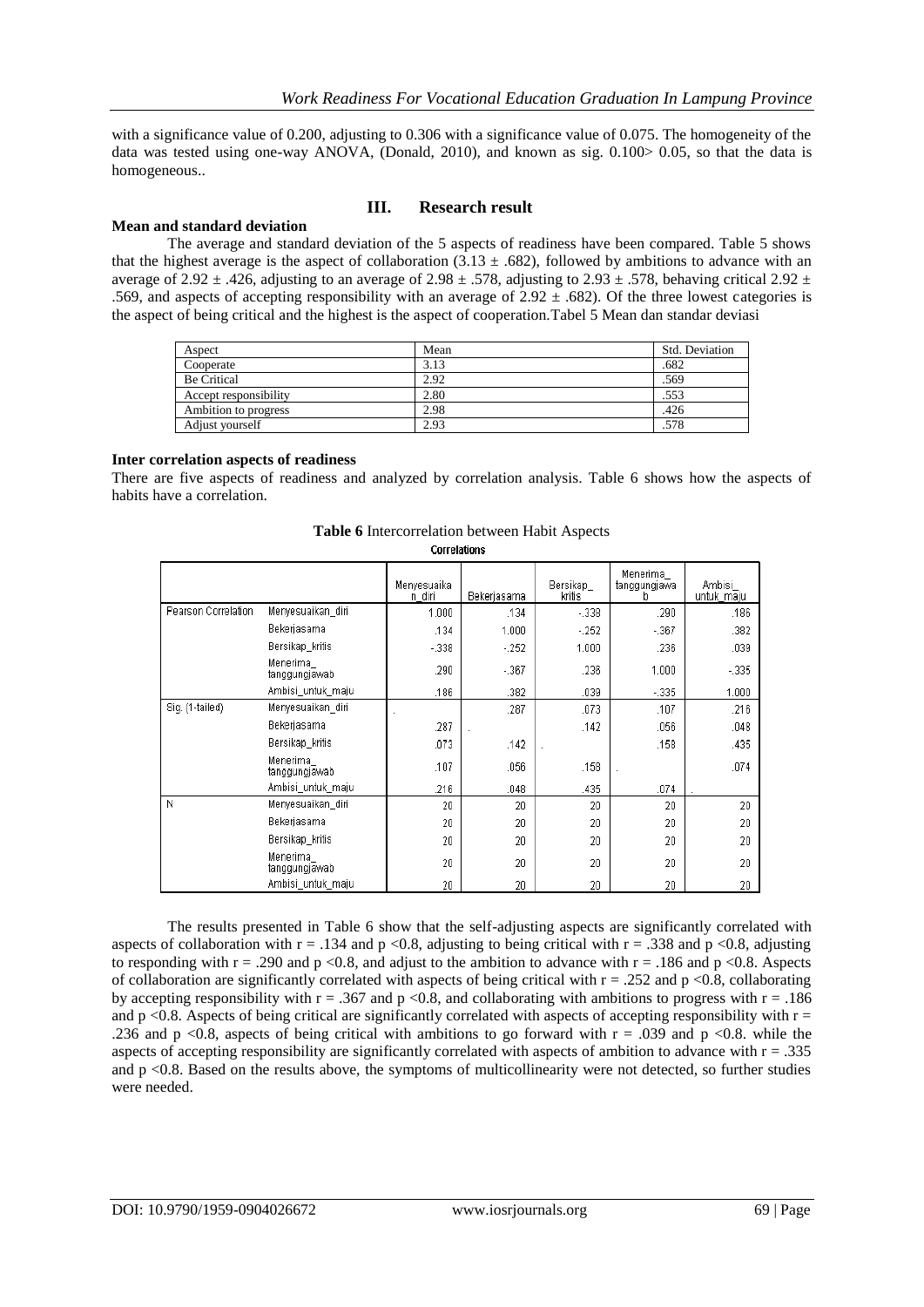with a significance value of 0.200, adjusting to 0.306 with a significance value of 0.075. The homogeneity of the data was tested using one-way ANOVA, (Donald, 2010), and known as sig. 0.100> 0.05, so that the data is homogeneous..

# **Mean and standard deviation**

# **III. Research result**

The average and standard deviation of the 5 aspects of readiness have been compared. Table 5 shows that the highest average is the aspect of collaboration (3.13  $\pm$  .682), followed by ambitions to advance with an average of 2.92  $\pm$  .426, adjusting to an average of 2.98  $\pm$  .578, adjusting to 2.93  $\pm$  .578, behaving critical 2.92  $\pm$ .569, and aspects of accepting responsibility with an average of  $2.92 \pm .682$ ). Of the three lowest categories is the aspect of being critical and the highest is the aspect of cooperation.Tabel 5 Mean dan standar deviasi

| Aspect                | Mean | Std. Deviation |
|-----------------------|------|----------------|
| Cooperate             | 3.13 | .682           |
| <b>Be Critical</b>    | 2.92 | .569           |
| Accept responsibility | 2.80 | .553           |
| Ambition to progress  | 2.98 | .426           |
| Adjust vourself       | 2.93 | .578           |

#### **Inter correlation aspects of readiness**

There are five aspects of readiness and analyzed by correlation analysis. Table 6 shows how the aspects of habits have a correlation.

|                     |                           | Menyesuaika<br>n diri | Bekerjasama | Bersikap<br>kritis | Menerima<br>tanggungjawa<br>b | Ambisi<br>untuk_maju |
|---------------------|---------------------------|-----------------------|-------------|--------------------|-------------------------------|----------------------|
| Pearson Correlation | Menyesuaikan_diri         | 1.000                 | .134        | $-0.338$           | .290                          | .186                 |
|                     | Bekerjasama               | .134                  | 1.000       | $-252$             | $-367$                        | .382                 |
|                     | Bersikap kritis           | $-0.338$              | $-252$      | 1.000              | .236                          | .039                 |
|                     | Menerima<br>tanggungjawab | .290                  | $-0.367$    | .236               | 1.000                         | $-335$               |
|                     | Ambisi_untuk_maju         | .186                  | .382        | .039               | $-335$                        | 1.000                |
| Sig. (1-tailed)     | Menyesuaikan_diri         |                       | .287        | .073               | .107                          | .216                 |
|                     | Bekerjasama               | .287                  |             | .142               | .056                          | .048                 |
|                     | Bersikap_kritis           | .073                  | .142        |                    | .158                          | .435                 |
|                     | Menerima<br>tanggungjawab | .107                  | .056        | .158               |                               | .074                 |
|                     | Ambisi untuk maju         | .216                  | .048        | .435               | .074                          |                      |
| N                   | Menyesuaikan diri         | 20                    | 20          | 20                 | 20                            | 20                   |
|                     | Bekerjasama               | 20                    | 20          | 20                 | 20                            | 20                   |
|                     | Bersikap kritis           | 20                    | 20          | 20                 | 20                            | 20                   |
|                     | Menerima<br>tanggungjawab | 20                    | 20          | 20                 | 20                            | 20                   |
|                     | Ambisi untuk maju         | 20                    | 20          | 20                 | 20                            | 20                   |

#### **Table 6** Intercorrelation between Habit Aspects **Correlations**

The results presented in Table 6 show that the self-adjusting aspects are significantly correlated with aspects of collaboration with  $r = .134$  and  $p < 0.8$ , adjusting to being critical with  $r = .338$  and  $p < 0.8$ , adjusting to responding with  $r = .290$  and  $p < 0.8$ , and adjust to the ambition to advance with  $r = .186$  and  $p < 0.8$ . Aspects of collaboration are significantly correlated with aspects of being critical with  $r = .252$  and  $p < 0.8$ , collaborating by accepting responsibility with  $r = 0.367$  and p <0.8, and collaborating with ambitions to progress with  $r = 0.186$ and p <0.8. Aspects of being critical are significantly correlated with aspects of accepting responsibility with  $r =$ .236 and p <0.8, aspects of being critical with ambitions to go forward with  $r = .039$  and  $p < 0.8$ . while the aspects of accepting responsibility are significantly correlated with aspects of ambition to advance with  $r = .335$ and  $p < 0.8$ . Based on the results above, the symptoms of multicollinearity were not detected, so further studies were needed.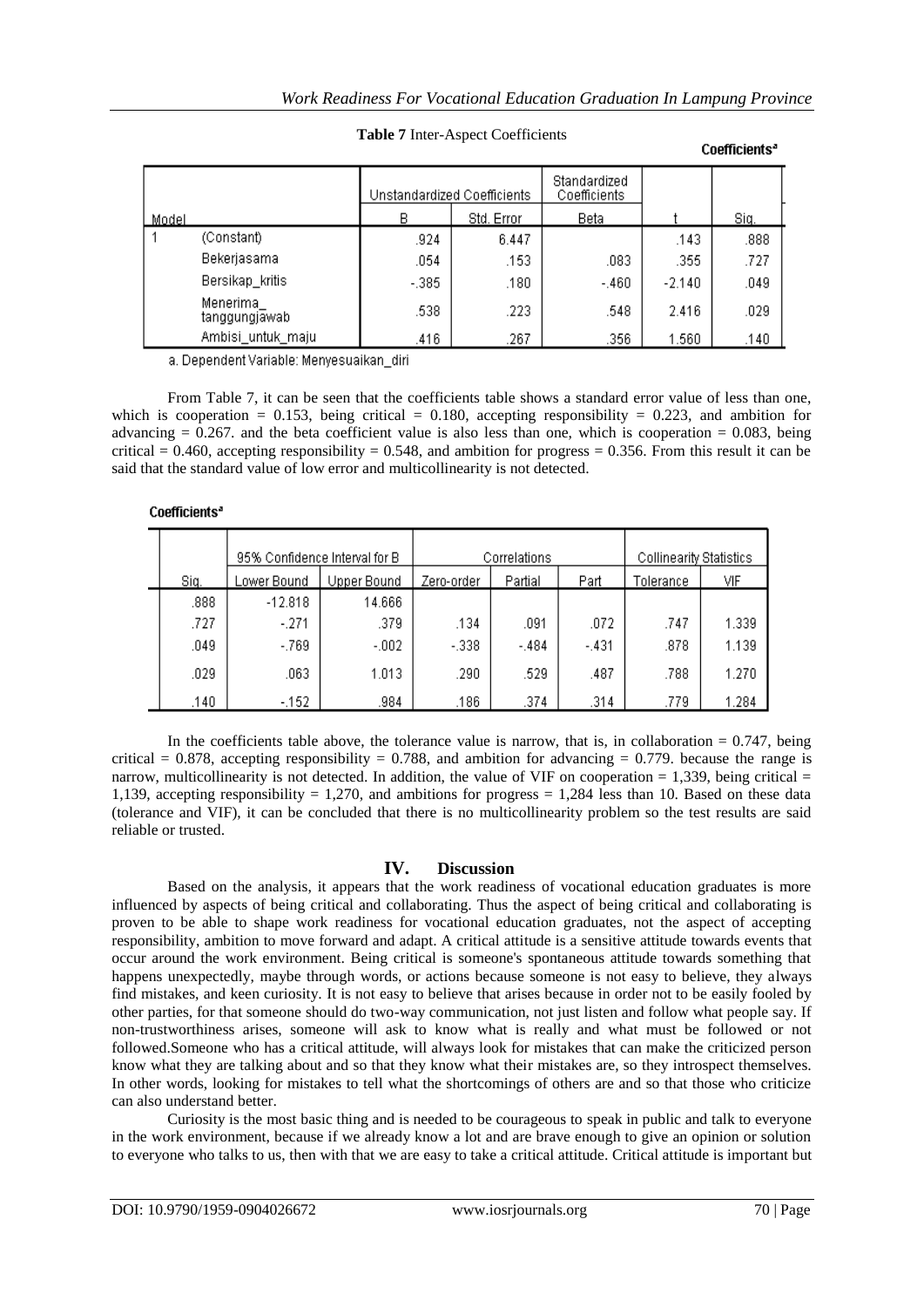Coefficients<sup>a</sup>

|       |                           | Unstandardized Coefficients |            | Standardized<br>Coefficients |          |      |
|-------|---------------------------|-----------------------------|------------|------------------------------|----------|------|
| Model |                           | в                           | Std. Error | Beta                         |          | Siq. |
|       | (Constant)                | .924                        | 6.447      |                              | .143     | .888 |
|       | Bekerjasama               | .054                        | .153       | .083                         | .355     | .727 |
|       | Bersikap_kritis           | $-.385.$                    | .180       | $-.460.$                     | $-2.140$ | .049 |
|       | Menerima<br>tanggungjawab | .538                        | .223       | .548                         | 2.416    | .029 |
|       | Ambisi_untuk_maju         | .416                        | .267       | .356                         | 1.560    | .140 |

## **Table 7** Inter-Aspect Coefficients

a. Dependent Variable: Menyesuaikan\_diri

From Table 7, it can be seen that the coefficients table shows a standard error value of less than one, which is cooperation = 0.153, being critical = 0.180, accepting responsibility = 0.223, and ambition for advancing  $= 0.267$ . and the beta coefficient value is also less than one, which is cooperation  $= 0.083$ , being critical = 0.460, accepting responsibility = 0.548, and ambition for progress = 0.356. From this result it can be said that the standard value of low error and multicollinearity is not detected.

## Coefficients<sup>a</sup>

|      | 95% Confidence Interval for B |         | Correlations |         |        | Collinearity Statistics |       |
|------|-------------------------------|---------|--------------|---------|--------|-------------------------|-------|
| Siq. | Lower Bound<br>Upper Bound    |         | Zero-order   | Partial | Part   | Tolerance               | VIF   |
| .888 | $-12.818$                     | 14.666  |              |         |        |                         |       |
| .727 | $-.271$                       | .379    | .134         | .091    | .072   | .747                    | 1.339 |
| .049 | $-.769.$                      | $-.002$ | $-.338$      | $-.484$ | $-431$ | .878                    | 1.139 |
| .029 | .063                          | 1.013   | .290         | .529    | .487   | .788                    | 1.270 |
| .140 | -.152                         | .984    | .186         | .374    | .314   | .779                    | 1.284 |

In the coefficients table above, the tolerance value is narrow, that is, in collaboration  $= 0.747$ , being critical = 0.878, accepting responsibility = 0.788, and ambition for advancing = 0.779, because the range is narrow, multicollinearity is not detected. In addition, the value of VIF on cooperation  $= 1,339$ , being critical  $=$ 1,139, accepting responsibility = 1,270, and ambitions for progress = 1,284 less than 10. Based on these data (tolerance and VIF), it can be concluded that there is no multicollinearity problem so the test results are said reliable or trusted.

## **IV. Discussion**

Based on the analysis, it appears that the work readiness of vocational education graduates is more influenced by aspects of being critical and collaborating. Thus the aspect of being critical and collaborating is proven to be able to shape work readiness for vocational education graduates, not the aspect of accepting responsibility, ambition to move forward and adapt. A critical attitude is a sensitive attitude towards events that occur around the work environment. Being critical is someone's spontaneous attitude towards something that happens unexpectedly, maybe through words, or actions because someone is not easy to believe, they always find mistakes, and keen curiosity. It is not easy to believe that arises because in order not to be easily fooled by other parties, for that someone should do two-way communication, not just listen and follow what people say. If non-trustworthiness arises, someone will ask to know what is really and what must be followed or not followed.Someone who has a critical attitude, will always look for mistakes that can make the criticized person know what they are talking about and so that they know what their mistakes are, so they introspect themselves. In other words, looking for mistakes to tell what the shortcomings of others are and so that those who criticize can also understand better.

Curiosity is the most basic thing and is needed to be courageous to speak in public and talk to everyone in the work environment, because if we already know a lot and are brave enough to give an opinion or solution to everyone who talks to us, then with that we are easy to take a critical attitude. Critical attitude is important but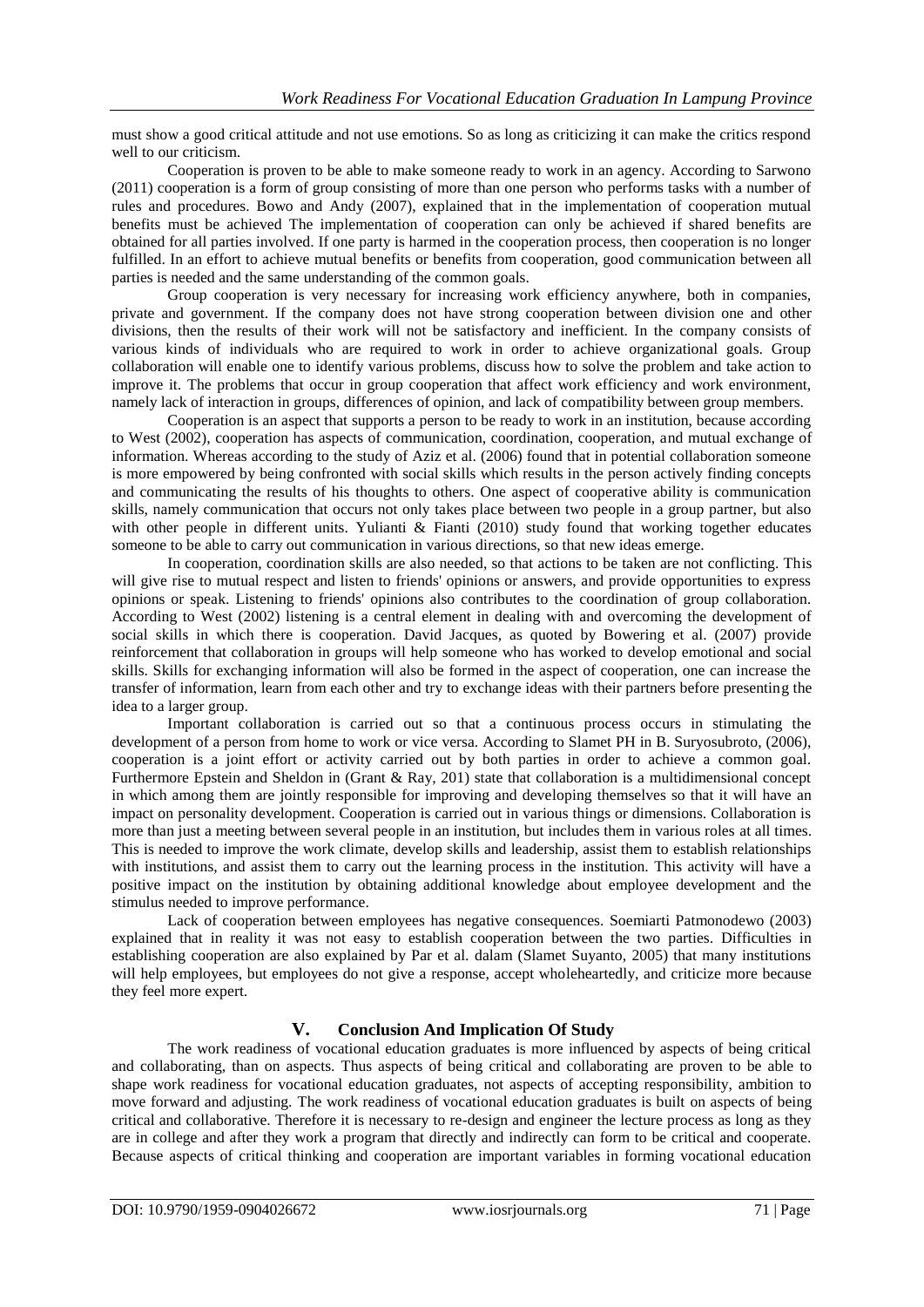must show a good critical attitude and not use emotions. So as long as criticizing it can make the critics respond well to our criticism.

Cooperation is proven to be able to make someone ready to work in an agency. According to Sarwono (2011) cooperation is a form of group consisting of more than one person who performs tasks with a number of rules and procedures. Bowo and Andy (2007), explained that in the implementation of cooperation mutual benefits must be achieved The implementation of cooperation can only be achieved if shared benefits are obtained for all parties involved. If one party is harmed in the cooperation process, then cooperation is no longer fulfilled. In an effort to achieve mutual benefits or benefits from cooperation, good communication between all parties is needed and the same understanding of the common goals.

Group cooperation is very necessary for increasing work efficiency anywhere, both in companies, private and government. If the company does not have strong cooperation between division one and other divisions, then the results of their work will not be satisfactory and inefficient. In the company consists of various kinds of individuals who are required to work in order to achieve organizational goals. Group collaboration will enable one to identify various problems, discuss how to solve the problem and take action to improve it. The problems that occur in group cooperation that affect work efficiency and work environment, namely lack of interaction in groups, differences of opinion, and lack of compatibility between group members.

Cooperation is an aspect that supports a person to be ready to work in an institution, because according to West (2002), cooperation has aspects of communication, coordination, cooperation, and mutual exchange of information. Whereas according to the study of Aziz et al. (2006) found that in potential collaboration someone is more empowered by being confronted with social skills which results in the person actively finding concepts and communicating the results of his thoughts to others. One aspect of cooperative ability is communication skills, namely communication that occurs not only takes place between two people in a group partner, but also with other people in different units. Yulianti & Fianti (2010) study found that working together educates someone to be able to carry out communication in various directions, so that new ideas emerge.

In cooperation, coordination skills are also needed, so that actions to be taken are not conflicting. This will give rise to mutual respect and listen to friends' opinions or answers, and provide opportunities to express opinions or speak. Listening to friends' opinions also contributes to the coordination of group collaboration. According to West (2002) listening is a central element in dealing with and overcoming the development of social skills in which there is cooperation. David Jacques, as quoted by Bowering et al. (2007) provide reinforcement that collaboration in groups will help someone who has worked to develop emotional and social skills. Skills for exchanging information will also be formed in the aspect of cooperation, one can increase the transfer of information, learn from each other and try to exchange ideas with their partners before presenting the idea to a larger group.

Important collaboration is carried out so that a continuous process occurs in stimulating the development of a person from home to work or vice versa. According to Slamet PH in B. Suryosubroto, (2006), cooperation is a joint effort or activity carried out by both parties in order to achieve a common goal. Furthermore Epstein and Sheldon in (Grant & Ray, 201) state that collaboration is a multidimensional concept in which among them are jointly responsible for improving and developing themselves so that it will have an impact on personality development. Cooperation is carried out in various things or dimensions. Collaboration is more than just a meeting between several people in an institution, but includes them in various roles at all times. This is needed to improve the work climate, develop skills and leadership, assist them to establish relationships with institutions, and assist them to carry out the learning process in the institution. This activity will have a positive impact on the institution by obtaining additional knowledge about employee development and the stimulus needed to improve performance.

Lack of cooperation between employees has negative consequences. Soemiarti Patmonodewo (2003) explained that in reality it was not easy to establish cooperation between the two parties. Difficulties in establishing cooperation are also explained by Par et al. dalam (Slamet Suyanto, 2005) that many institutions will help employees, but employees do not give a response, accept wholeheartedly, and criticize more because they feel more expert.

# **V. Conclusion And Implication Of Study**

The work readiness of vocational education graduates is more influenced by aspects of being critical and collaborating, than on aspects. Thus aspects of being critical and collaborating are proven to be able to shape work readiness for vocational education graduates, not aspects of accepting responsibility, ambition to move forward and adjusting. The work readiness of vocational education graduates is built on aspects of being critical and collaborative. Therefore it is necessary to re-design and engineer the lecture process as long as they are in college and after they work a program that directly and indirectly can form to be critical and cooperate. Because aspects of critical thinking and cooperation are important variables in forming vocational education